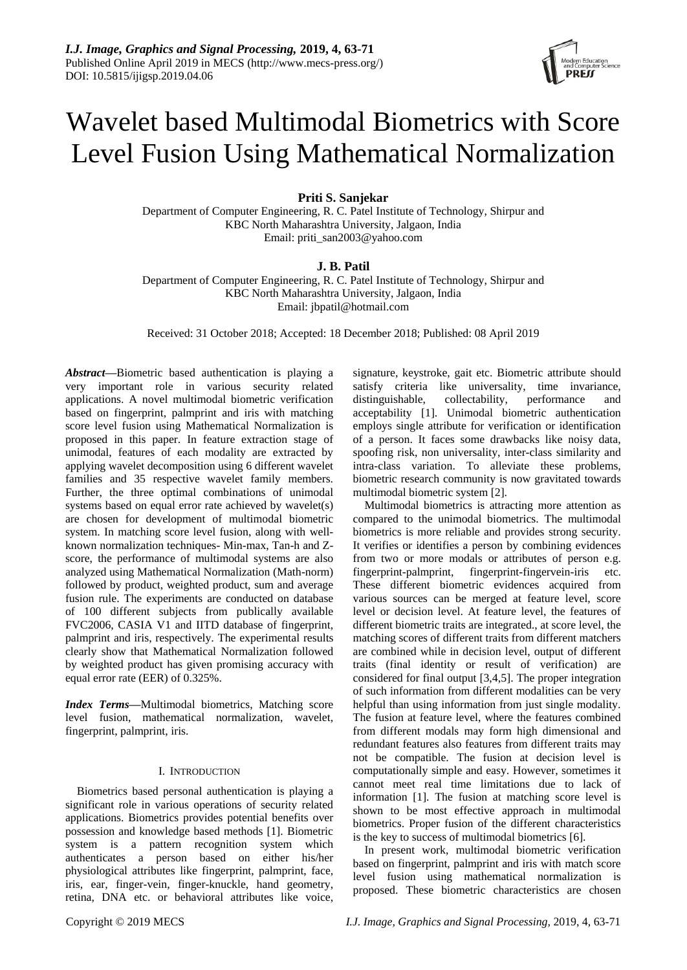# Wavelet based Multimodal Biometrics with Score Level Fusion Using Mathematical Normalization

**Priti S. Sanjekar**

Department of Computer Engineering, R. C. Patel Institute of Technology, Shirpur and KBC North Maharashtra University, Jalgaon, India Email: priti\_san2003@yahoo.com

# **J. B. Patil**

Department of Computer Engineering, R. C. Patel Institute of Technology, Shirpur and KBC North Maharashtra University, Jalgaon, India Email: jbpatil@hotmail.com

Received: 31 October 2018; Accepted: 18 December 2018; Published: 08 April 2019

*Abstract***—**Biometric based authentication is playing a very important role in various security related applications. A novel multimodal biometric verification based on fingerprint, palmprint and iris with matching score level fusion using Mathematical Normalization is proposed in this paper. In feature extraction stage of unimodal, features of each modality are extracted by applying wavelet decomposition using 6 different wavelet families and 35 respective wavelet family members. Further, the three optimal combinations of unimodal systems based on equal error rate achieved by wavelet(s) are chosen for development of multimodal biometric system. In matching score level fusion, along with wellknown normalization techniques- Min-max, Tan-h and Zscore, the performance of multimodal systems are also analyzed using Mathematical Normalization (Math-norm) followed by product, weighted product, sum and average fusion rule. The experiments are conducted on database of 100 different subjects from publically available FVC2006, CASIA V1 and IITD database of fingerprint, palmprint and iris, respectively. The experimental results clearly show that Mathematical Normalization followed by weighted product has given promising accuracy with equal error rate (EER) of 0.325%.

*Index Terms***—**Multimodal biometrics, Matching score level fusion, mathematical normalization, wavelet, fingerprint, palmprint, iris.

# I. INTRODUCTION

Biometrics based personal authentication is playing a significant role in various operations of security related applications. Biometrics provides potential benefits over possession and knowledge based methods [1]. Biometric system is a pattern recognition system which authenticates a person based on either his/her physiological attributes like fingerprint, palmprint, face, iris, ear, finger-vein, finger-knuckle, hand geometry, retina, DNA etc. or behavioral attributes like voice,

signature, keystroke, gait etc. Biometric attribute should satisfy criteria like universality, time invariance, distinguishable, collectability, performance and acceptability [1]. Unimodal biometric authentication employs single attribute for verification or identification of a person. It faces some drawbacks like noisy data, spoofing risk, non universality, inter-class similarity and intra-class variation. To alleviate these problems, biometric research community is now gravitated towards multimodal biometric system [2].

Multimodal biometrics is attracting more attention as compared to the unimodal biometrics. The multimodal biometrics is more reliable and provides strong security. It verifies or identifies a person by combining evidences from two or more modals or attributes of person e.g. fingerprint-palmprint, fingerprint-fingervein-iris etc. These different biometric evidences acquired from various sources can be merged at feature level, score level or decision level. At feature level, the features of different biometric traits are integrated., at score level, the matching scores of different traits from different matchers are combined while in decision level, output of different traits (final identity or result of verification) are considered for final output [3,4,5]. The proper integration of such information from different modalities can be very helpful than using information from just single modality. The fusion at feature level, where the features combined from different modals may form high dimensional and redundant features also features from different traits may not be compatible. The fusion at decision level is computationally simple and easy. However, sometimes it cannot meet real time limitations due to lack of information [1]. The fusion at matching score level is shown to be most effective approach in multimodal biometrics. Proper fusion of the different characteristics is the key to success of multimodal biometrics [6].

In present work, multimodal biometric verification based on fingerprint, palmprint and iris with match score level fusion using mathematical normalization is proposed. These biometric characteristics are chosen

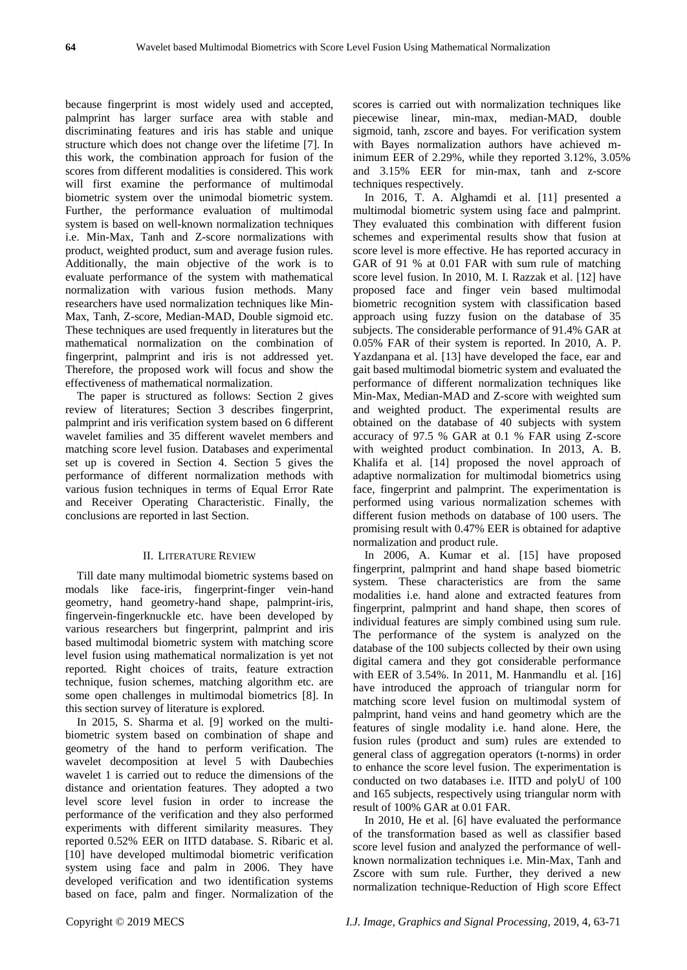because fingerprint is most widely used and accepted, palmprint has larger surface area with stable and discriminating features and iris has stable and unique structure which does not change over the lifetime [7]. In this work, the combination approach for fusion of the scores from different modalities is considered. This work will first examine the performance of multimodal biometric system over the unimodal biometric system. Further, the performance evaluation of multimodal system is based on well-known normalization techniques i.e. Min-Max, Tanh and Z-score normalizations with product, weighted product, sum and average fusion rules. Additionally, the main objective of the work is to evaluate performance of the system with mathematical normalization with various fusion methods. Many researchers have used normalization techniques like Min-Max, Tanh, Z-score, Median-MAD, Double sigmoid etc. These techniques are used frequently in literatures but the mathematical normalization on the combination of fingerprint, palmprint and iris is not addressed yet. Therefore, the proposed work will focus and show the effectiveness of mathematical normalization.

The paper is structured as follows: Section 2 gives review of literatures; Section 3 describes fingerprint, palmprint and iris verification system based on 6 different wavelet families and 35 different wavelet members and matching score level fusion. Databases and experimental set up is covered in Section 4. Section 5 gives the performance of different normalization methods with various fusion techniques in terms of Equal Error Rate and Receiver Operating Characteristic. Finally, the conclusions are reported in last Section.

# II. LITERATURE REVIEW

Till date many multimodal biometric systems based on modals like face-iris, fingerprint-finger vein-hand geometry, hand geometry-hand shape, palmprint-iris, fingervein-fingerknuckle etc. have been developed by various researchers but fingerprint, palmprint and iris based multimodal biometric system with matching score level fusion using mathematical normalization is yet not reported. Right choices of traits, feature extraction technique, fusion schemes, matching algorithm etc. are some open challenges in multimodal biometrics [8]. In this section survey of literature is explored.

In 2015, S. Sharma et al. [9] worked on the multibiometric system based on combination of shape and geometry of the hand to perform verification. The wavelet decomposition at level 5 with Daubechies wavelet 1 is carried out to reduce the dimensions of the distance and orientation features. They adopted a two level score level fusion in order to increase the performance of the verification and they also performed experiments with different similarity measures. They reported 0.52% EER on IITD database. S. Ribaric et al. [10] have developed multimodal biometric verification system using face and palm in 2006. They have developed verification and two identification systems based on face, palm and finger. Normalization of the scores is carried out with normalization techniques like piecewise linear, min-max, median-MAD, double sigmoid, tanh, zscore and bayes. For verification system with Bayes normalization authors have achieved minimum EER of 2.29%, while they reported 3.12%, 3.05% and 3.15% EER for min-max, tanh and z-score techniques respectively.

In 2016, T. A. Alghamdi et al. [11] presented a multimodal biometric system using face and palmprint. They evaluated this combination with different fusion schemes and experimental results show that fusion at score level is more effective. He has reported accuracy in GAR of 91 % at 0.01 FAR with sum rule of matching score level fusion. In 2010, M. I. Razzak et al. [12] have proposed face and finger vein based multimodal biometric recognition system with classification based approach using fuzzy fusion on the database of 35 subjects. The considerable performance of 91.4% GAR at 0.05% FAR of their system is reported. In 2010, A. P. Yazdanpana et al. [13] have developed the face, ear and gait based multimodal biometric system and evaluated the performance of different normalization techniques like Min-Max, Median-MAD and Z-score with weighted sum and weighted product. The experimental results are obtained on the database of 40 subjects with system accuracy of 97.5 % GAR at 0.1 % FAR using Z-score with weighted product combination. In 2013, A. B. Khalifa et al. [14] proposed the novel approach of adaptive normalization for multimodal biometrics using face, fingerprint and palmprint. The experimentation is performed using various normalization schemes with different fusion methods on database of 100 users. The promising result with 0.47% EER is obtained for adaptive normalization and product rule.

In 2006, A. Kumar et al. [15] have proposed fingerprint, palmprint and hand shape based biometric system. These characteristics are from the same modalities i.e. hand alone and extracted features from fingerprint, palmprint and hand shape, then scores of individual features are simply combined using sum rule. The performance of the system is analyzed on the database of the 100 subjects collected by their own using digital camera and they got considerable performance with EER of 3.54%. In 2011, M. Hanmandlu et al. [16] have introduced the approach of triangular norm for matching score level fusion on multimodal system of palmprint, hand veins and hand geometry which are the features of single modality i.e. hand alone. Here, the fusion rules (product and sum) rules are extended to general class of aggregation operators (t-norms) in order to enhance the score level fusion. The experimentation is conducted on two databases i.e. IITD and polyU of 100 and 165 subjects, respectively using triangular norm with result of 100% GAR at 0.01 FAR.

In 2010, He et al. [6] have evaluated the performance of the transformation based as well as classifier based score level fusion and analyzed the performance of wellknown normalization techniques i.e. Min-Max, Tanh and Zscore with sum rule. Further, they derived a new normalization technique-Reduction of High score Effect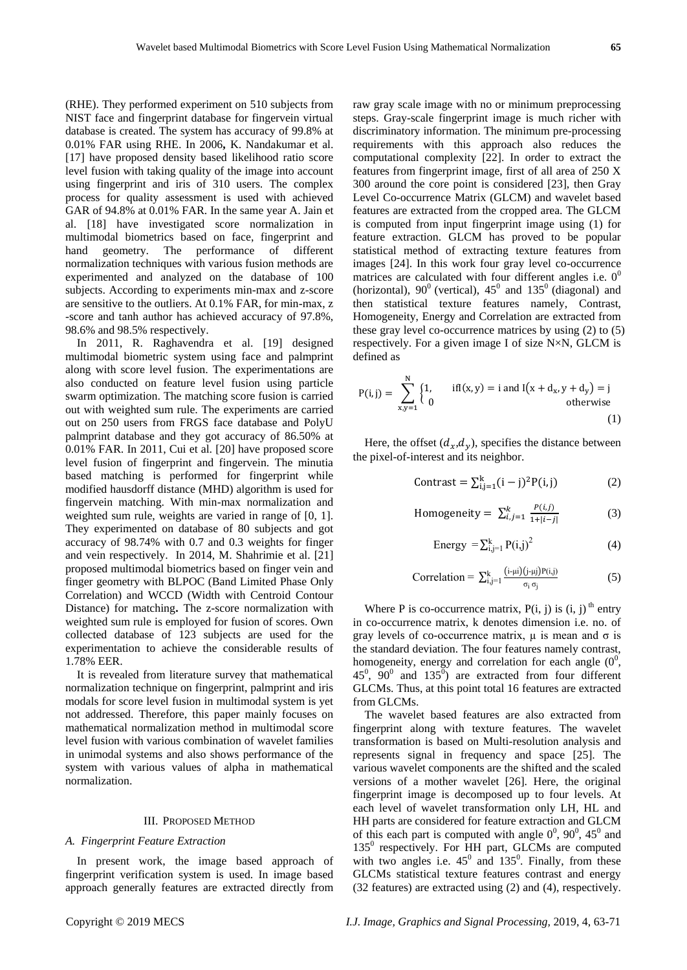(RHE). They performed experiment on 510 subjects from NIST face and fingerprint database for fingervein virtual database is created. The system has accuracy of 99.8% at 0.01% FAR using RHE. In 2006**,** K. Nandakumar et al. [17] have proposed density based likelihood ratio score level fusion with taking quality of the image into account using fingerprint and iris of 310 users. The complex process for quality assessment is used with achieved GAR of 94.8% at 0.01% FAR. In the same year A. Jain et al. [18] have investigated score normalization in multimodal biometrics based on face, fingerprint and hand geometry. The performance of different normalization techniques with various fusion methods are experimented and analyzed on the database of 100 subjects. According to experiments min-max and z-score are sensitive to the outliers. At 0.1% FAR, for min-max, z -score and tanh author has achieved accuracy of 97.8%, 98.6% and 98.5% respectively.

In 2011, R. Raghavendra et al. [19] designed multimodal biometric system using face and palmprint along with score level fusion. The experimentations are also conducted on feature level fusion using particle swarm optimization. The matching score fusion is carried out with weighted sum rule. The experiments are carried out on 250 users from FRGS face database and PolyU palmprint database and they got accuracy of 86.50% at 0.01% FAR. In 2011, Cui et al. [20] have proposed score level fusion of fingerprint and fingervein. The minutia based matching is performed for fingerprint while modified hausdorff distance (MHD) algorithm is used for fingervein matching. With min-max normalization and weighted sum rule, weights are varied in range of [0, 1]. They experimented on database of 80 subjects and got accuracy of 98.74% with 0.7 and 0.3 weights for finger and vein respectively. In 2014, M. Shahrimie et al. [21] proposed multimodal biometrics based on finger vein and finger geometry with BLPOC (Band Limited Phase Only Correlation) and WCCD (Width with Centroid Contour Distance) for matching**.** The z-score normalization with weighted sum rule is employed for fusion of scores. Own collected database of 123 subjects are used for the experimentation to achieve the considerable results of 1.78% EER.

It is revealed from literature survey that mathematical normalization technique on fingerprint, palmprint and iris modals for score level fusion in multimodal system is yet not addressed. Therefore, this paper mainly focuses on mathematical normalization method in multimodal score level fusion with various combination of wavelet families in unimodal systems and also shows performance of the system with various values of alpha in mathematical normalization.

#### III. PROPOSED METHOD

#### *A. Fingerprint Feature Extraction*

In present work, the image based approach of fingerprint verification system is used. In image based approach generally features are extracted directly from

raw gray scale image with no or minimum preprocessing steps. Gray-scale fingerprint image is much richer with discriminatory information. The minimum pre-processing requirements with this approach also reduces the computational complexity [22]. In order to extract the features from fingerprint image, first of all area of 250 X 300 around the core point is considered [23], then Gray Level Co-occurrence Matrix (GLCM) and wavelet based features are extracted from the cropped area. The GLCM is computed from input fingerprint image using (1) for feature extraction. GLCM has proved to be popular statistical method of extracting texture features from images [24]. In this work four gray level co-occurrence matrices are calculated with four different angles i.e.  $0^0$ (horizontal),  $90^0$  (vertical),  $45^0$  and  $135^0$  (diagonal) and then statistical texture features namely, Contrast, Homogeneity, Energy and Correlation are extracted from these gray level co-occurrence matrices by using (2) to (5) respectively. For a given image I of size N×N, GLCM is defined as

$$
P(i, j) = \sum_{x, y=1}^{N} \begin{cases} 1, & \text{if } I(x, y) = i \text{ and } I(x + d_x, y + d_y) = j \\ 0 & \text{otherwise} \end{cases}
$$
(1)

Here, the offset  $(d_x, d_y)$ , specifies the distance between the pixel-of-interest and its neighbor.

$$
Contrast = \sum_{i,j=1}^{k} (i-j)^{2} P(i,j)
$$
 (2)

Homogeneity = 
$$
\sum_{i,j=1}^{k} \frac{P(i,j)}{1+|i-j|}
$$
 (3)

Energy = 
$$
\sum_{i,j=1}^{k} P(i,j)^2
$$
 (4)

Correlation = 
$$
\sum_{i,j=1}^{k} \frac{(i-\mu i)(j-\mu j)P(i,j)}{\sigma_i \sigma_j}
$$
 (5)

Where P is co-occurrence matrix,  $P(i, j)$  is  $(i, j)$ <sup>th</sup> entry in co-occurrence matrix, k denotes dimension i.e. no. of gray levels of co-occurrence matrix,  $\mu$  is mean and  $\sigma$  is the standard deviation. The four features namely contrast, homogeneity, energy and correlation for each angle  $(0^0)$ ,  $45^0$ ,  $90^0$  and  $135^0$ ) are extracted from four different GLCMs. Thus, at this point total 16 features are extracted from GLCMs.

The wavelet based features are also extracted from fingerprint along with texture features. The wavelet transformation is based on Multi-resolution analysis and represents signal in frequency and space [25]. The various wavelet components are the shifted and the scaled versions of a mother wavelet [26]. Here, the original fingerprint image is decomposed up to four levels. At each level of wavelet transformation only LH, HL and HH parts are considered for feature extraction and GLCM of this each part is computed with angle  $0^0$ ,  $90^0$ ,  $45^0$  and 135<sup>0</sup> respectively. For HH part, GLCMs are computed with two angles i.e.  $45^{\circ}$  and  $135^{\circ}$ . Finally, from these GLCMs statistical texture features contrast and energy (32 features) are extracted using (2) and (4), respectively.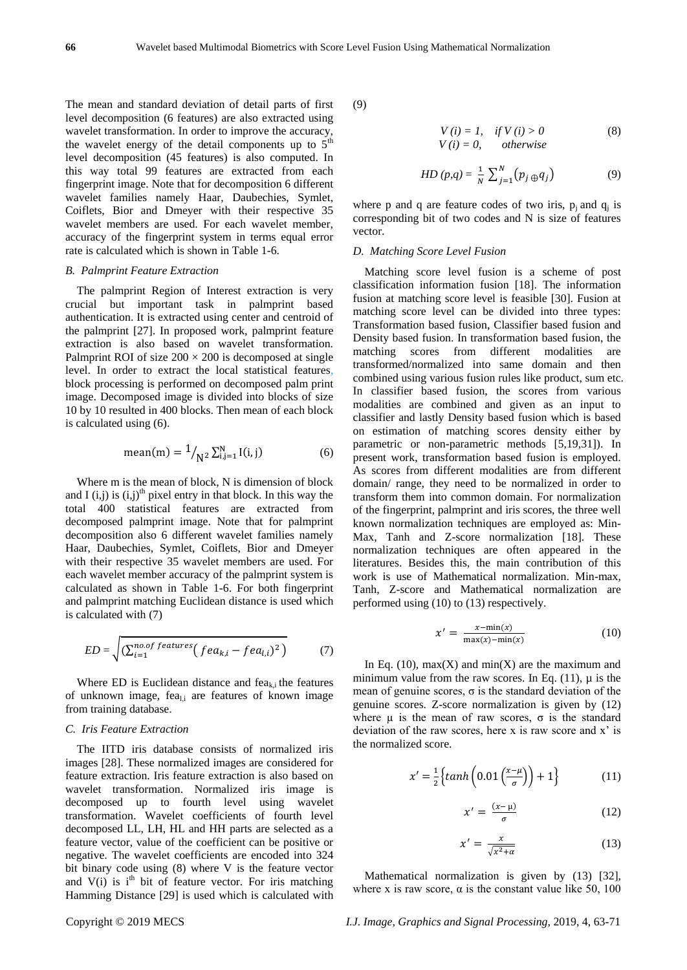The mean and standard deviation of detail parts of first level decomposition (6 features) are also extracted using wavelet transformation. In order to improve the accuracy, the wavelet energy of the detail components up to  $5<sup>th</sup>$ level decomposition (45 features) is also computed. In this way total 99 features are extracted from each fingerprint image. Note that for decomposition 6 different wavelet families namely Haar, Daubechies, Symlet, Coiflets, Bior and Dmeyer with their respective 35 wavelet members are used. For each wavelet member, accuracy of the fingerprint system in terms equal error rate is calculated which is shown in Table 1-6.

#### *B. Palmprint Feature Extraction*

The palmprint Region of Interest extraction is very crucial but important task in palmprint based authentication. It is extracted using center and centroid of the palmprint [27]. In proposed work, palmprint feature extraction is also based on wavelet transformation. Palmprint ROI of size  $200 \times 200$  is decomposed at single level. In order to extract the local statistical features, block processing is performed on decomposed palm print image. Decomposed image is divided into blocks of size 10 by 10 resulted in 400 blocks. Then mean of each block is calculated using (6).

mean(m) = 
$$
1/_{N^2} \sum_{i,j=1}^{N} I(i,j)
$$
 (6)

Where m is the mean of block, N is dimension of block and I (i,j) is  $(i,j)$ <sup>th</sup> pixel entry in that block. In this way the total 400 statistical features are extracted from decomposed palmprint image. Note that for palmprint decomposition also 6 different wavelet families namely Haar, Daubechies, Symlet, Coiflets, Bior and Dmeyer with their respective 35 wavelet members are used. For each wavelet member accuracy of the palmprint system is calculated as shown in Table 1-6. For both fingerprint and palmprint matching Euclidean distance is used which is calculated with (7)

$$
ED = \sqrt{\left(\sum_{i=1}^{no.of features} (fea_{k,i} - fea_{l,i})^2\right)} \tag{7}
$$

Where ED is Euclidean distance and  $f_{\text{eq}}$  the features of unknown image, feal,i are features of known image from training database.

#### *C. Iris Feature Extraction*

The IITD iris database consists of normalized iris images [28]. These normalized images are considered for feature extraction. Iris feature extraction is also based on wavelet transformation. Normalized iris image is decomposed up to fourth level using wavelet transformation. Wavelet coefficients of fourth level decomposed LL, LH, HL and HH parts are selected as a feature vector, value of the coefficient can be positive or negative. The wavelet coefficients are encoded into 324 bit binary code using (8) where V is the feature vector and  $V(i)$  is i<sup>th</sup> bit of feature vector. For iris matching Hamming Distance [29] is used which is calculated with

(9)

$$
V(i) = 1, \quad if \quad V(i) > 0 \tag{8}
$$
\n
$$
V(i) = 0, \quad otherwise
$$

$$
HD(p,q) = \frac{1}{N} \sum_{j=1}^{N} (p_j \oplus q_j)
$$
 (9)

where p and q are feature codes of two iris,  $p_j$  and  $q_j$  is corresponding bit of two codes and N is size of features vector.

#### *D. Matching Score Level Fusion*

Matching score level fusion is a scheme of post classification information fusion [18]. The information fusion at matching score level is feasible [30]. Fusion at matching score level can be divided into three types: Transformation based fusion, Classifier based fusion and Density based fusion. In transformation based fusion, the matching scores from different modalities are transformed/normalized into same domain and then combined using various fusion rules like product, sum etc. In classifier based fusion, the scores from various modalities are combined and given as an input to classifier and lastly Density based fusion which is based on estimation of matching scores density either by parametric or non-parametric methods [5,19,31]). In present work, transformation based fusion is employed. As scores from different modalities are from different domain/ range, they need to be normalized in order to transform them into common domain. For normalization of the fingerprint, palmprint and iris scores, the three well known normalization techniques are employed as: Min-Max, Tanh and Z-score normalization [18]. These normalization techniques are often appeared in the literatures. Besides this, the main contribution of this work is use of Mathematical normalization. Min-max, Tanh, Z-score and Mathematical normalization are performed using (10) to (13) respectively.

$$
x' = \frac{x - \min(x)}{\max(x) - \min(x)}\tag{10}
$$

In Eq. (10),  $max(X)$  and  $min(X)$  are the maximum and minimum value from the raw scores. In Eq.  $(11)$ ,  $\mu$  is the mean of genuine scores,  $\sigma$  is the standard deviation of the genuine scores. Z-score normalization is given by (12) where  $\mu$  is the mean of raw scores,  $\sigma$  is the standard deviation of the raw scores, here x is raw score and x' is the normalized score.

$$
x' = \frac{1}{2} \left\{ \tanh\left( 0.01 \left( \frac{x - \mu}{\sigma} \right) \right) + 1 \right\} \tag{11}
$$

$$
x' = \frac{(x - \mu)}{\sigma} \tag{12}
$$

$$
x' = \frac{x}{\sqrt{x^2 + \alpha}}\tag{13}
$$

Mathematical normalization is given by  $(13)$  [32], where x is raw score,  $\alpha$  is the constant value like 50, 100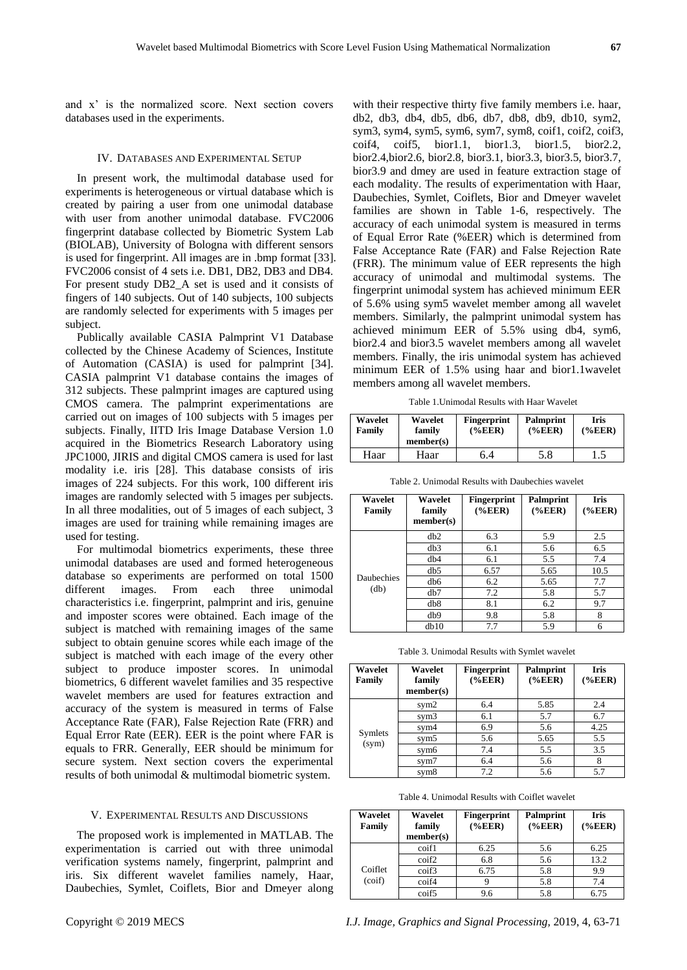and x' is the normalized score. Next section covers databases used in the experiments.

#### IV. DATABASES AND EXPERIMENTAL SETUP

In present work, the multimodal database used for experiments is heterogeneous or virtual database which is created by pairing a user from one unimodal database with user from another unimodal database. FVC2006 fingerprint database collected by Biometric System Lab (BIOLAB), University of Bologna with different sensors is used for fingerprint. All images are in .bmp format [33]. FVC2006 consist of 4 sets i.e. DB1, DB2, DB3 and DB4. For present study DB2\_A set is used and it consists of fingers of 140 subjects. Out of 140 subjects, 100 subjects are randomly selected for experiments with 5 images per subject.

Publically available CASIA Palmprint V1 Database collected by the Chinese Academy of Sciences, Institute of Automation (CASIA) is used for palmprint [34]. CASIA palmprint V1 database contains the images of 312 subjects. These palmprint images are captured using CMOS camera. The palmprint experimentations are carried out on images of 100 subjects with 5 images per subjects. Finally, IITD Iris Image Database Version 1.0 acquired in the Biometrics Research Laboratory using JPC1000, JIRIS and digital CMOS camera is used for last modality i.e. iris [28]. This database consists of iris images of 224 subjects. For this work, 100 different iris images are randomly selected with 5 images per subjects. In all three modalities, out of 5 images of each subject, 3 images are used for training while remaining images are used for testing.

For multimodal biometrics experiments, these three unimodal databases are used and formed heterogeneous database so experiments are performed on total 1500 different images. From each three unimodal characteristics i.e. fingerprint, palmprint and iris, genuine and imposter scores were obtained. Each image of the subject is matched with remaining images of the same subject to obtain genuine scores while each image of the subject is matched with each image of the every other subject to produce imposter scores. In unimodal biometrics, 6 different wavelet families and 35 respective wavelet members are used for features extraction and accuracy of the system is measured in terms of False Acceptance Rate (FAR), False Rejection Rate (FRR) and Equal Error Rate (EER). EER is the point where FAR is equals to FRR. Generally, EER should be minimum for secure system. Next section covers the experimental results of both unimodal & multimodal biometric system.

#### V. EXPERIMENTAL RESULTS AND DISCUSSIONS

The proposed work is implemented in MATLAB. The experimentation is carried out with three unimodal verification systems namely, fingerprint, palmprint and iris. Six different wavelet families namely, Haar, Daubechies, Symlet, Coiflets, Bior and Dmeyer along with their respective thirty five family members i.e. haar, db2, db3, db4, db5, db6, db7, db8, db9, db10, sym2, sym3, sym4, sym5, sym6, sym7, sym8, coif1, coif2, coif3, coif4, coif5, bior1.1, bior1.3, bior1.5, bior2.2, bior2.4,bior2.6, bior2.8, bior3.1, bior3.3, bior3.5, bior3.7, bior3.9 and dmey are used in feature extraction stage of each modality. The results of experimentation with Haar, Daubechies, Symlet, Coiflets, Bior and Dmeyer wavelet families are shown in Table 1-6, respectively. The accuracy of each unimodal system is measured in terms of Equal Error Rate (%EER) which is determined from False Acceptance Rate (FAR) and False Rejection Rate (FRR). The minimum value of EER represents the high accuracy of unimodal and multimodal systems. The fingerprint unimodal system has achieved minimum EER of 5.6% using sym5 wavelet member among all wavelet members. Similarly, the palmprint unimodal system has achieved minimum EER of 5.5% using db4, sym6, bior2.4 and bior3.5 wavelet members among all wavelet members. Finally, the iris unimodal system has achieved minimum EER of 1.5% using haar and bior1.1wavelet members among all wavelet members.

Table 1.Unimodal Results with Haar Wavelet

| Wavelet<br>Family | Wavelet<br>family<br>member(s) | <b>Fingerprint</b><br>$(\%EER)$ | Palmprint<br>$(\%EER)$ | <b>Iris</b><br>$(*EER)$ |
|-------------------|--------------------------------|---------------------------------|------------------------|-------------------------|
| Haar              | Haar                           | 6.4                             | 5.8                    |                         |

| Wavelet<br>Family | Wavelet<br>family<br>member(s) | <b>Fingerprint</b><br>$(*EER)$ | Palmprint<br>$(%$ (%EER) | Iris<br>$(\%EER)$ |
|-------------------|--------------------------------|--------------------------------|--------------------------|-------------------|
|                   | dh2                            | 6.3                            | 5.9                      | 2.5               |
|                   | db3                            | 6.1                            | 5.6                      | 6.5               |
|                   | dh4                            | 6.1                            | 5.5                      | 7.4               |
|                   | db5                            | 6.57                           | 5.65                     | 10.5              |
| Daubechies        | db6                            | 6.2                            | 5.65                     | 7.7               |
| (db)              | db7                            | 7.2                            | 5.8                      | 5.7               |
|                   | db8                            | 8.1                            | 6.2                      | 9.7               |
|                   | db9                            | 9.8                            | 5.8                      | 8                 |
|                   | db10                           | 7.7                            | 5.9                      | 6                 |

Table 3. Unimodal Results with Symlet wavelet

| Wavelet<br>Family | Wavelet<br>family<br>member(s) | <b>Fingerprint</b><br>% <b>EER</b> | <b>Palmprint</b><br>$(\%EER)$ | <b>Iris</b><br>$(\%EER)$ |
|-------------------|--------------------------------|------------------------------------|-------------------------------|--------------------------|
|                   | sym <sub>2</sub>               | 6.4                                | 5.85                          | 2.4                      |
|                   | sym <sub>3</sub>               | 6.1                                | 5.7                           | 6.7                      |
|                   | sym4                           | 6.9                                | 5.6                           | 4.25                     |
| Symlets<br>(sym)  | sym <sub>5</sub>               | 5.6                                | 5.65                          | 5.5                      |
|                   | sym <sub>6</sub>               | 7.4                                | 5.5                           | 3.5                      |
|                   | sym7                           | 6.4                                | 5.6                           | 8                        |
|                   | sym <sub>8</sub>               | 7.2                                | 5.6                           | 5.7                      |

Table 4. Unimodal Results with Coiflet wavelet

| Wavelet<br>Family | Wavelet<br>family<br>member(s) | <b>Fingerprint</b><br>$(\%EER)$ | Palmprint<br>$(\%EER)$ | <b>Iris</b><br>$(\%EER)$ |
|-------------------|--------------------------------|---------------------------------|------------------------|--------------------------|
|                   | coif1                          | 6.25                            | 5.6                    | 6.25                     |
|                   | coif <sub>2</sub>              | 6.8                             | 5.6                    | 13.2                     |
| Coiflet           | coif3                          | 6.75                            | 5.8                    | 9.9                      |
| (cot)             | coif4                          |                                 | 5.8                    | 7.4                      |
|                   | coif <sub>5</sub>              | 9.6                             | 5.8                    | 6.75                     |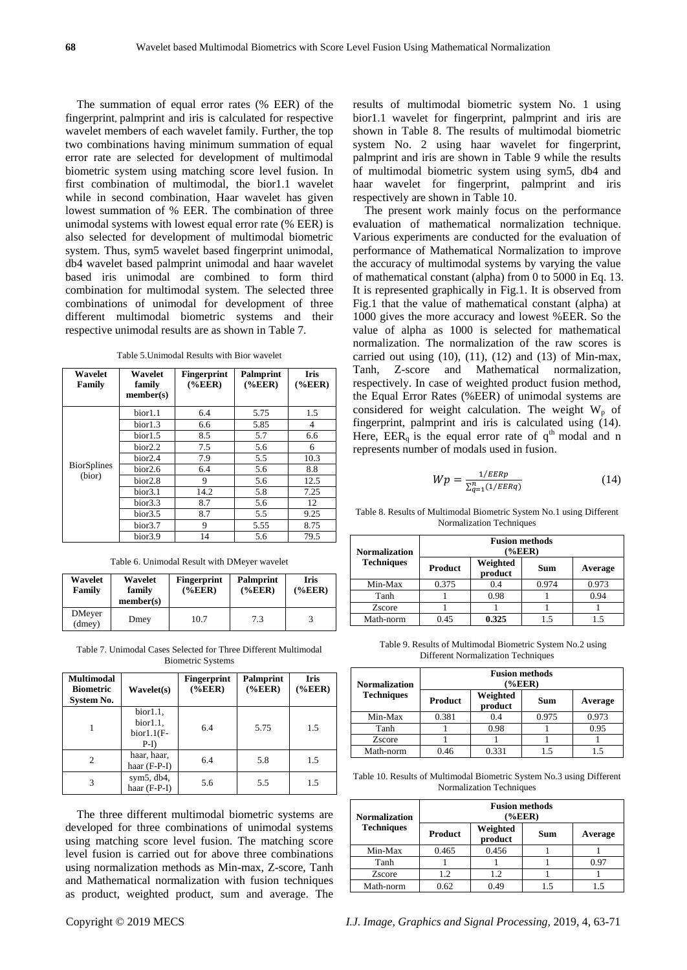The summation of equal error rates (% EER) of the fingerprint, palmprint and iris is calculated for respective wavelet members of each wavelet family. Further, the top two combinations having minimum summation of equal error rate are selected for development of multimodal biometric system using matching score level fusion. In first combination of multimodal, the bior1.1 wavelet while in second combination. Haar wavelet has given lowest summation of % EER. The combination of three unimodal systems with lowest equal error rate (% EER) is also selected for development of multimodal biometric system. Thus, sym5 wavelet based fingerprint unimodal, db4 wavelet based palmprint unimodal and haar wavelet based iris unimodal are combined to form third combination for multimodal system. The selected three combinations of unimodal for development of three different multimodal biometric systems and their respective unimodal results are as shown in Table 7.

Table 5.Unimodal Results with Bior wavelet

| Wavelet<br>Family  | Wavelet<br>family<br>member(s) | <b>Fingerprint</b><br>$(\%EER)$ | Palmprint<br>$(\%EER)$ | <b>Iris</b><br>$(\%EER)$ |
|--------------------|--------------------------------|---------------------------------|------------------------|--------------------------|
|                    | bior1.1                        | 6.4                             | 5.75                   | 1.5                      |
|                    | bior1.3                        | 6.6                             | 5.85                   | $\overline{4}$           |
|                    | bior1.5                        | 8.5                             | 5.7                    | 6.6                      |
|                    | bior2.2                        | 7.5                             | 5.6                    | 6                        |
|                    | bior <sub>2.4</sub>            | 7.9                             | 5.5                    | 10.3                     |
| <b>BiorSplines</b> | bior2.6                        | 6.4                             | 5.6                    | 8.8                      |
| (bior)             | bior <sub>2.8</sub>            | 9                               | 5.6                    | 12.5                     |
|                    | bior <sub>3.1</sub>            | 14.2                            | 5.8                    | 7.25                     |
|                    | bior 3.3                       | 8.7                             | 5.6                    | 12                       |
|                    | bior <sub>3.5</sub>            | 8.7                             | 5.5                    | 9.25                     |
|                    | bior <sub>3.7</sub>            | 9                               | 5.55                   | 8.75                     |
|                    | bior <sub>3.9</sub>            | 14                              | 5.6                    | 79.5                     |

Table 6. Unimodal Result with DMeyer wavelet

| Wavelet<br>Family | Wavelet<br>family<br>member(s) | <b>Fingerprint</b><br>$(\%EER)$ | <b>Palmprint</b><br>% <b>EER</b> | <b>Iris</b><br>$(\%EER)$ |
|-------------------|--------------------------------|---------------------------------|----------------------------------|--------------------------|
| DMeyer<br>(dmev)  | Dmey                           | 10.7                            | 7.3                              |                          |

Table 7. Unimodal Cases Selected for Three Different Multimodal Biometric Systems

| Multimodal<br><b>Biometric</b><br><b>System No.</b> | Wavelet(s)                                    | <b>Fingerprint</b><br>$(\%EER)$ | <b>Palmprint</b><br>$(\%EER)$ | <b>Iris</b><br>$(\%EER)$ |
|-----------------------------------------------------|-----------------------------------------------|---------------------------------|-------------------------------|--------------------------|
|                                                     | bior1.1,<br>bior1.1,<br>$bior1.1(F-$<br>$P-I$ | 6.4                             | 5.75                          | 1.5                      |
| 2                                                   | haar, haar,<br>haar $(F-P-I)$                 | 6.4                             | 5.8                           | 1.5                      |
| 3                                                   | sym $5$ , db $4$ ,<br>haar (F-P-I)            | 5.6                             | 5.5                           | 1.5                      |

The three different multimodal biometric systems are developed for three combinations of unimodal systems using matching score level fusion. The matching score level fusion is carried out for above three combinations using normalization methods as Min-max, Z-score, Tanh and Mathematical normalization with fusion techniques as product, weighted product, sum and average. The results of multimodal biometric system No. 1 using bior1.1 wavelet for fingerprint, palmprint and iris are shown in Table 8. The results of multimodal biometric system No. 2 using haar wavelet for fingerprint, palmprint and iris are shown in Table 9 while the results of multimodal biometric system using sym5, db4 and haar wavelet for fingerprint, palmprint and iris respectively are shown in Table 10.

The present work mainly focus on the performance evaluation of mathematical normalization technique. Various experiments are conducted for the evaluation of performance of Mathematical Normalization to improve the accuracy of multimodal systems by varying the value of mathematical constant (alpha) from 0 to 5000 in Eq. 13. It is represented graphically in Fig.1. It is observed from Fig.1 that the value of mathematical constant (alpha) at 1000 gives the more accuracy and lowest %EER. So the value of alpha as 1000 is selected for mathematical normalization. The normalization of the raw scores is carried out using  $(10)$ ,  $(11)$ ,  $(12)$  and  $(13)$  of Min-max, Tanh, Z-score and Mathematical normalization, respectively. In case of weighted product fusion method, the Equal Error Rates (%EER) of unimodal systems are considered for weight calculation. The weight  $W_p$  of fingerprint, palmprint and iris is calculated using (14). Here,  $EER_{a}$  is the equal error rate of  $q^{th}$  modal and n represents number of modals used in fusion.

$$
Wp = \frac{1/EERp}{\sum_{q=1}^{n} (1/EERq)}\tag{14}
$$

Table 8. Results of Multimodal Biometric System No.1 using Different Normalization Techniques

| <b>Normalization</b> | <b>Fusion methods</b><br>(%EER) |                     |            |         |  |
|----------------------|---------------------------------|---------------------|------------|---------|--|
| <b>Techniques</b>    | <b>Product</b>                  | Weighted<br>product | <b>Sum</b> | Average |  |
| Min-Max              | 0.375                           | 0.4                 | 0.974      | 0.973   |  |
| Tanh                 |                                 | 0.98                |            | 0.94    |  |
| Zscore               |                                 |                     |            |         |  |
| Math-norm            | 0.45                            | 0.325               | 1.5        | 1.5     |  |

Table 9. Results of Multimodal Biometric System No.2 using Different Normalization Techniques

| <b>Normalization</b> | <b>Fusion methods</b><br>$(\%EER)$ |                     |       |         |
|----------------------|------------------------------------|---------------------|-------|---------|
| <b>Techniques</b>    | Product                            | Weighted<br>product | Sum   | Average |
| Min-Max              | 0.381                              | 0.4                 | 0.975 | 0.973   |
| Tanh                 |                                    | 0.98                |       | 0.95    |
| Zscore               |                                    |                     |       |         |
| Math-norm            | 0.46                               | 0.331               |       |         |

Table 10. Results of Multimodal Biometric System No.3 using Different Normalization Techniques

| <b>Normalization</b> | <b>Fusion methods</b><br>$(\%EER)$ |                     |     |         |  |
|----------------------|------------------------------------|---------------------|-----|---------|--|
| <b>Techniques</b>    | Product                            | Weighted<br>product | Sum | Average |  |
| Min-Max              | 0.465                              | 0.456               |     |         |  |
| Tanh                 |                                    |                     |     | 0.97    |  |
| Zscore               | 1.2                                | 1.2                 |     |         |  |
| Math-norm            | 0.62                               | 0.49                |     |         |  |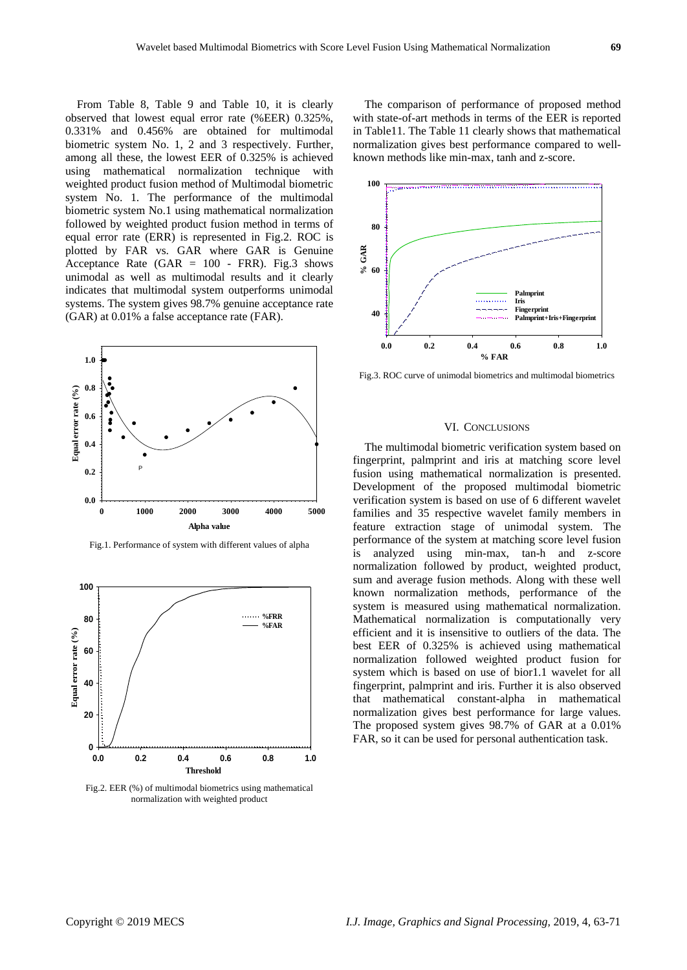From Table 8, Table 9 and Table 10, it is clearly observed that lowest equal error rate (%EER) 0.325%, 0.331% and 0.456% are obtained for multimodal biometric system No. 1, 2 and 3 respectively. Further, among all these, the lowest EER of 0.325% is achieved using mathematical normalization technique with weighted product fusion method of Multimodal biometric system No. 1. The performance of the multimodal biometric system No.1 using mathematical normalization followed by weighted product fusion method in terms of equal error rate (ERR) is represented in Fig.2. ROC is plotted by FAR vs. GAR where GAR is Genuine Acceptance Rate (GAR  $= 100$  - FRR). Fig.3 shows unimodal as well as multimodal results and it clearly indicates that multimodal system outperforms unimodal systems. The system gives 98.7% genuine acceptance rate (GAR) at 0.01% a false acceptance rate (FAR).



Fig.1. Performance of system with different values of alpha



Fig.2. EER (%) of multimodal biometrics using mathematical normalization with weighted product

The comparison of performance of proposed method with state-of-art methods in terms of the EER is reported in Table11. The Table 11 clearly shows that mathematical normalization gives best performance compared to wellknown methods like min-max, tanh and z-score.



Fig.3. ROC curve of unimodal biometrics and multimodal biometrics

## VI. CONCLUSIONS

The multimodal biometric verification system based on fingerprint, palmprint and iris at matching score level fusion using mathematical normalization is presented. Development of the proposed multimodal biometric verification system is based on use of 6 different wavelet families and 35 respective wavelet family members in feature extraction stage of unimodal system. The performance of the system at matching score level fusion is analyzed using min-max, tan-h and z-score normalization followed by product, weighted product, sum and average fusion methods. Along with these well known normalization methods, performance of the system is measured using mathematical normalization. Mathematical normalization is computationally very efficient and it is insensitive to outliers of the data. The best EER of 0.325% is achieved using mathematical normalization followed weighted product fusion for system which is based on use of bior1.1 wavelet for all fingerprint, palmprint and iris. Further it is also observed that mathematical constant-alpha in mathematical normalization gives best performance for large values. The proposed system gives 98.7% of GAR at a 0.01% FAR, so it can be used for personal authentication task.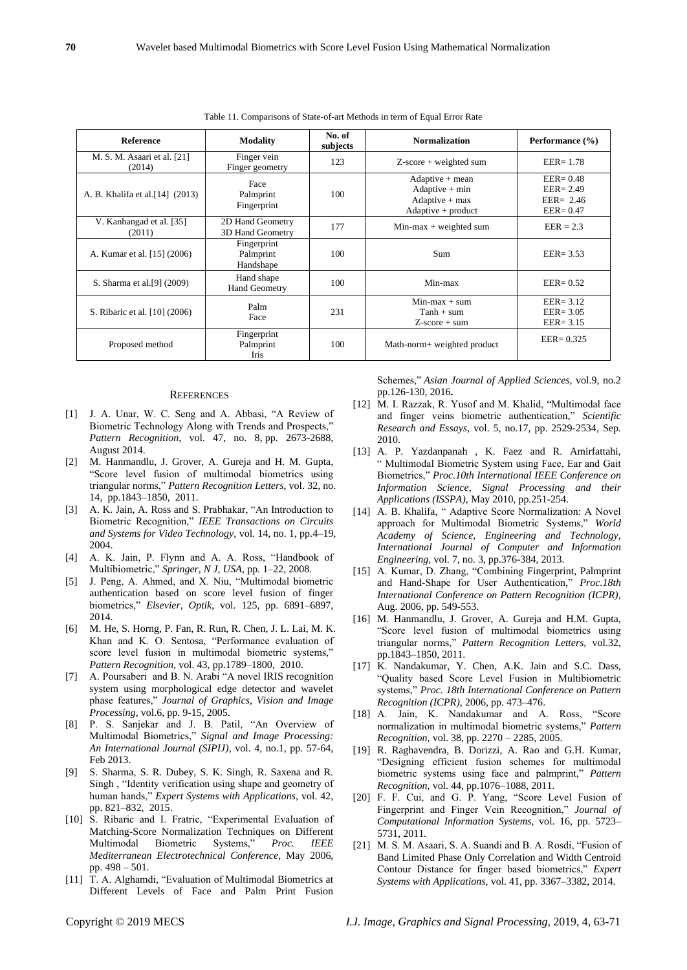| <b>Reference</b>                      | <b>Modality</b>                       | No. of<br>subjects | <b>Normalization</b>                                                              | Performance (%)                                              |
|---------------------------------------|---------------------------------------|--------------------|-----------------------------------------------------------------------------------|--------------------------------------------------------------|
| M. S. M. Asaari et al. [21]<br>(2014) | Finger vein<br>Finger geometry        | 123                | $Z$ -score + weighted sum                                                         | $EER = 1.78$                                                 |
| A. B. Khalifa et al. [14] (2013)      | Face<br>Palmprint<br>Fingerprint      | 100                | $Adaptive + mean$<br>$Adaptive + min$<br>$Adaptive + max$<br>$Adaptive + product$ | $EER = 0.48$<br>$EER = 2.49$<br>$EER = 2.46$<br>$EER = 0.47$ |
| V. Kanhangad et al. [35]<br>(2011)    | 2D Hand Geometry<br>3D Hand Geometry  | 177                | $Min-max + weighted sum$                                                          | $EER = 2.3$                                                  |
| A. Kumar et al. [15] (2006)           | Fingerprint<br>Palmprint<br>Handshape | 100                | <b>Sum</b>                                                                        | $EER = 3.53$                                                 |
| S. Sharma et al. [9] (2009)           | Hand shape<br><b>Hand Geometry</b>    | 100                | Min-max                                                                           | $EER = 0.52$                                                 |
| S. Ribaric et al. [10] (2006)         | Palm<br>Face                          | 231                | $Min-max + sum$<br>$Tanh + sum$<br>$Z-score + sum$                                | $EER = 3.12$<br>$EER = 3.05$<br>$EER = 3.15$                 |
| Proposed method                       | Fingerprint<br>Palmprint<br>Iris      | 100                | Math-norm+ weighted product                                                       | $EER = 0.325$                                                |

Table 11. Comparisons of State-of-art Methods in term of Equal Error Rate

#### **REFERENCES**

- [1] J. A. Unar, W. C. Seng and A. Abbasi, "A Review of Biometric Technology Along with Trends and Prospects," *Pattern Recognition*, [vol. 47, no. 8,](https://www.sciencedirect.com/science/journal/00313203/47/8) pp. 2673-2688, August 2014.
- [2] M. Hanmandlu, J. Grover, A. Gureja and H. M. Gupta, "Score level fusion of multimodal biometrics using triangular norms," *Pattern Recognition Letters*, vol. 32, no. 14, pp.1843–1850, 2011.
- [3] A. K. Jain, A. Ross and S. Prabhakar, "An Introduction to Biometric Recognition," *IEEE Transactions on Circuits and Systems for Video Technology*, vol. 14, no. 1, pp.4–19, 2004.
- [4] A. K. Jain, P. Flynn and A. A. Ross, "Handbook of Multibiometric," *Springer, N J, USA*, pp. 1–22, 2008.
- [5] J. Peng, A. Ahmed, and X. Niu, "Multimodal biometric authentication based on score level fusion of finger biometrics," *Elsevier, Optik*, vol. 125, pp. 6891–6897, 2014.
- [6] M. He, S. Horng, P. Fan, R. Run, R. Chen, J. L. Lai, M. K. Khan and K. O. Sentosa, "Performance evaluation of score level fusion in multimodal biometric systems," *Pattern Recognition*, vol. 43, pp.1789–1800, 2010.
- [7] A. Poursaberi and B. N. Arabi "A novel IRIS recognition system using morphological edge detector and wavelet phase features," *Journal of Graphics, Vision and Image Processing*, vol.6, pp. 9-15, 2005.
- [8] P. S. Sanjekar and J. B. Patil, "An Overview of Multimodal Biometrics," *Signal and Image Processing: An International Journal (SIPIJ)*, vol. 4, no.1, pp. 57-64, Feb 2013.
- [9] S. Sharma, S. R. Dubey, S. K. Singh, R. Saxena and R. Singh , "Identity verification using shape and geometry of human hands," *Expert Systems with Applications*, vol. 42, pp. 821–832, 2015.
- [10] S. Ribaric and I. Fratric, "Experimental Evaluation of Matching-Score Normalization Techniques on Different Multimodal Biometric Systems," *Proc. IEEE Mediterranean Electrotechnical Conference*, May 2006, pp. 498 – 501.
- [11] T. A. Alghamdi, "Evaluation of Multimodal Biometrics at Different Levels of Face and Palm Print Fusion

Schemes," *Asian Journal of Applied Sciences*, vol.9, no.2 pp.126-130, 2016**.**

- [12] M. I. Razzak, R. Yusof and M. Khalid, "Multimodal face and finger veins biometric authentication," *Scientific Research and Essays*, vol. 5, no.17, pp. 2529-2534, Sep. 2010.
- [13] A. P. Yazdanpanah , K. Faez and R. Amirfattahi, " Multimodal Biometric System using Face, Ear and Gait Biometrics," *Proc.10th International IEEE Conference on Information Science, Signal Processing and their Applications (ISSPA)*, May 2010, pp.251-254.
- [14] A. B. Khalifa, " Adaptive Score Normalization: A Novel approach for Multimodal Biometric Systems," *World Academy of Science, Engineering and Technology, International Journal of Computer and Information Engineering*, vol. 7, no. 3, pp.376-384, 2013.
- [15] A. Kumar, D. Zhang, "Combining Fingerprint, Palmprint and Hand-Shape for User Authentication," *Proc.18th International Conference on Pattern Recognition (ICPR)*, Aug. 2006, pp. 549-553.
- [16] M. Hanmandlu, J. Grover, A. Gureja and H.M. Gupta, "Score level fusion of multimodal biometrics using triangular norms," *Pattern Recognition Letters,* vol.32, pp.1843–1850, 2011.
- [17] K. Nandakumar, Y. Chen, A.K. Jain and S.C. Dass, "Quality based Score Level Fusion in Multibiometric systems," *Proc. 18th International Conference on Pattern Recognition (ICPR)*, 2006, pp. 473–476.
- [18] A. Jain, K. Nandakumar and A. Ross, "Score normalization in multimodal biometric systems," *Pattern Recognition*, vol. 38, pp. 2270 – 2285, 2005.
- [19] R. Raghavendra, B. Dorizzi, A. Rao and G.H. Kumar, "Designing efficient fusion schemes for multimodal biometric systems using face and palmprint," *Pattern Recognition*, vol. 44, pp.1076–1088, 2011.
- [20] F. F. Cui, and G. P. Yang, "Score Level Fusion of Fingerprint and Finger Vein Recognition," *Journal of Computational Information Systems*, vol. 16, pp. 5723– 5731, 2011.
- [21] M. S. M. Asaari, S. A. Suandi and B. A. Rosdi, "Fusion of Band Limited Phase Only Correlation and Width Centroid Contour Distance for finger based biometrics," *Expert Systems with Applications*, vol. 41, pp. 3367–3382, 2014.